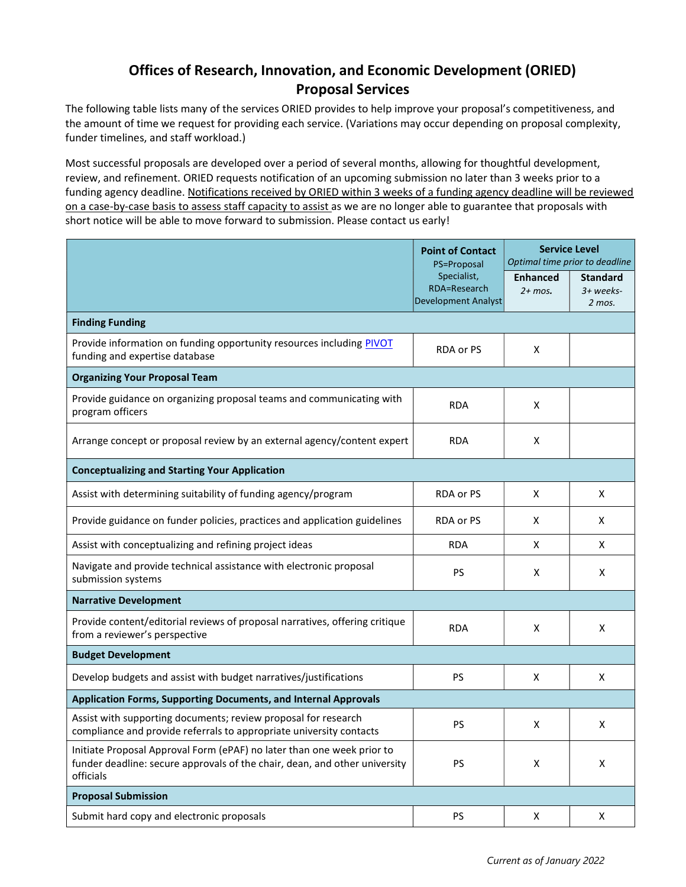# Offices of Research, Innovation, and Economic Development (ORIED) Proposal Services

The following table lists many of the services ORIED provides to help improve your proposal's competitiveness, and the amount of time we request for providing each service. (Variations may occur depending on proposal complexity, funder timelines, and staff workload.)

Most successful proposals are developed over a period of several months, allowing for thoughtful development, review, and refinement. ORIED requests notification of an upcoming submission no later than 3 weeks prior to a funding agency deadline. Notifications received by ORIED within 3 weeks of a funding agency deadline will be reviewed on a case-by-case basis to assess staff capacity to assist as we are no longer able to guarantee that proposals with short notice will be able to move forward to submission. Please contact us early!

|                                                                                                                                                                   | <b>Point of Contact</b><br>PS=Proposal | <b>Service Level</b><br>Optimal time prior to deadline |   |  |
|-------------------------------------------------------------------------------------------------------------------------------------------------------------------|----------------------------------------|--------------------------------------------------------|---|--|
| Specialist,<br>RDA=Research<br>Development Analyst                                                                                                                | <b>Enhanced</b><br>$2+$ mos.           | <b>Standard</b><br>3+ weeks-<br>$2$ mos.               |   |  |
| <b>Finding Funding</b>                                                                                                                                            |                                        |                                                        |   |  |
| Provide information on funding opportunity resources including PIVOT<br>funding and expertise database                                                            | RDA or PS                              | X                                                      |   |  |
| <b>Organizing Your Proposal Team</b>                                                                                                                              |                                        |                                                        |   |  |
| Provide guidance on organizing proposal teams and communicating with<br>program officers                                                                          | <b>RDA</b>                             | X                                                      |   |  |
| Arrange concept or proposal review by an external agency/content expert                                                                                           | <b>RDA</b>                             | X                                                      |   |  |
| <b>Conceptualizing and Starting Your Application</b>                                                                                                              |                                        |                                                        |   |  |
| Assist with determining suitability of funding agency/program                                                                                                     | RDA or PS                              | Χ                                                      | X |  |
| Provide guidance on funder policies, practices and application guidelines                                                                                         | RDA or PS                              | X                                                      | X |  |
| Assist with conceptualizing and refining project ideas                                                                                                            | <b>RDA</b>                             | X                                                      | X |  |
| Navigate and provide technical assistance with electronic proposal<br>submission systems                                                                          | PS                                     | X                                                      | X |  |
| <b>Narrative Development</b>                                                                                                                                      |                                        |                                                        |   |  |
| Provide content/editorial reviews of proposal narratives, offering critique<br>from a reviewer's perspective                                                      | <b>RDA</b>                             | x                                                      | X |  |
| <b>Budget Development</b>                                                                                                                                         |                                        |                                                        |   |  |
| Develop budgets and assist with budget narratives/justifications                                                                                                  | PS                                     | X                                                      | Χ |  |
| <b>Application Forms, Supporting Documents, and Internal Approvals</b>                                                                                            |                                        |                                                        |   |  |
| Assist with supporting documents; review proposal for research<br>compliance and provide referrals to appropriate university contacts                             | PS                                     | X                                                      | х |  |
| Initiate Proposal Approval Form (ePAF) no later than one week prior to<br>funder deadline: secure approvals of the chair, dean, and other university<br>officials | PS                                     | Χ                                                      | X |  |
| <b>Proposal Submission</b>                                                                                                                                        |                                        |                                                        |   |  |
| Submit hard copy and electronic proposals                                                                                                                         | PS                                     | Χ                                                      | X |  |